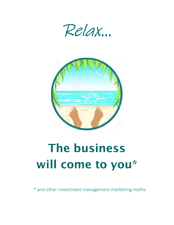



# The business will come to you\*

\* and other investment management marketing myths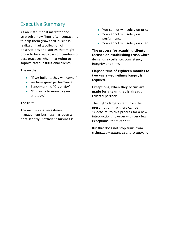#### Executive Summary

As an institutional marketer and strategist, new firms often contact me to help them grow their business. I realized I had a collection of observations and stories that might prove to be a valuable compendium of best practices when marketing to sophisticated institutional clients.

The myths:

- $\bullet$  "If we build it, they will come."
- ◆ We have great performance...
- ◆ Benchmarking "Creativity"
- ◆ "I'm ready to monetize my strategy."

The truth:

The institutional investment management business has been a persistently inefficient business:

- ◆ You cannot win solely on price;
- ◆ You cannot win solely on performance;
- ◆ You cannot win solely on charm.

The process for acquiring clients focuses on establishing trust, which demands excellence, consistency, integrity and time.

Elapsed time of eighteen months to two years—sometimes longer, is required.

Exceptions, when they occur, are made for a team that is already trusted partner.

The myths largely stem from the presumption that there can be "shortcuts" to this process for a new introduction, however with very few exceptions, there cannot.

But that does not stop firms from trying…sometimes, pretty creatively.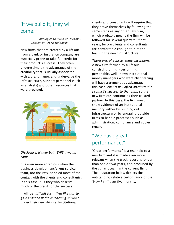## 'If we build it, they will come.'

………apologies to "Field of Dreams", written by Dane Malanoski

New firms that are created by a lift-out from a bank or insurance company are especially prone to take full credit for their product's success. They often underestimate the advantages of the credibility that is usually associated with a brand name, and undervalue the infrastructure, support personnel (such as analysts) and other resources that were provided.



Disclosure: If they built THIS, I would come.

It is even more egregious when the business development/client service team, not the PMs, handled most of the contact with the clients and consultants. In this case, it is they who deserve much of the credit for the success.

It will be difficult for a firm like this to gain traction without "earning it" while under their new shingle. Institutional

clients and consultants will require that they prove themselves by following the same steps as any other new firm, which probably means the firm will be followed for several quarters, if not years, before clients and consultants are comfortable enough to hire the team in the new firm structure.

There are, of course, some exceptions. A new firm formed by a lift-out consisting of high-performing, personable, well-known institutional money managers who were client-facing will have a tremendous advantage. In this case, clients will often attribute the product's success to the team, so the new firm can continue as their trusted partner. In this case, the firm must show evidence of an institutional memory, either by building out infrastructure or by engaging outside firms to handle processes such as administration, compliance and copier repair.

## "We have great performance."

"Great performance" is a real help to a new firm and it is made even more relevant when the track record is longer than one or two years, and produced by the current team in the current firm. The illustration below depicts the outstanding relative performance of the "New Firm" over five months.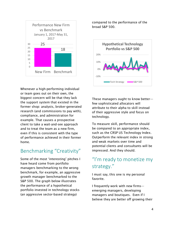

Whenever a high-performing individual or team goes out on their own, the biggest concern will be that they lack the support system that existed in the former shop: analysts, broker-generated research (and commissions to pay with), compliance, and administration for example. That causes a prospective client to take a wait-and-see approach and to treat the team as a new firm, even if this is consistent with the type of performance achieved in their former home.

## Benchmarking "Creativity"

Some of the most 'interesting' pitches I have heard come from portfolio managers benchmarking to the wrong benchmark, for example, an aggressive growth manager benchmarked to the S&P 500. The graph below illustrates the performance of a hypothetical portfolio invested in technology stocks (an aggressive sector-based strategy)

compared to the performance of the broad S&P 500.



These managers ought to know better few sophisticated allocators will attribute to their alpha to skill instead of their aggressive style and focus on technology.

To measure skill, performance should be compared to an appropriate index, such as the CRSP US Technology Index. Outperform the relevant index in strong and weak markets over time and potential clients and consultants will be impressed. And they should.

# "I'm ready to monetize my strategy."

I must say, this one is my personal favorite.

I frequently work with new firms emerging managers, developing managers and boutiques. Even if I believe they are better off growing their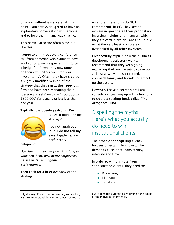business without a marketer at this point, I am always delighted to have an exploratory conversation with anyone and to help them in any way that I can.

This particular scene often plays out like this:

I agree to an introductory conference call from someone who claims to have worked for a well-respected firm (often a hedge fund), who has now gone out on their own, either voluntarily or involuntarily'. Often, they have created a slightly modified version of the strategy that they ran at their previous firm and have been managing their "personal assets" (usually \$200,000 to \$500,000) for usually (a lot) less than one year.

Typically, the opening salvo is: "I'm



ready to monetize my strategy".

I do not laugh out loud. I do not roll my eyes. I gather a few perfunctory

datapoints:

ł

How long at your old firm, how long at your new firm, how many employees, assets under management, performance.

Then I ask for a brief overview of the strategy.

As a rule, these folks do NOT comprehend 'brief'. They love to explain in great detail their proprietary investing insights and nuances, which they are certain are brilliant and unique or, at the very least, completely overlooked by all other investors.

I respectfully explain how the business development trajectory works, recommend that they keep going managing their own assets to develop at least a two-year track record, approach family and friends to ratchet up the assets.

However, I have a secret plan: I am considering teaming up with a few folks to create a seeding fund, called "The Arrogance Fund".

Dispelling the myths: Here's what you actually do need to win institutional clients.

The process for acquiring clients focuses on establishing trust, which demands excellence, consistency, integrity and time.

In order to win business from sophisticated clients, they need to:

- ◆ Know you;
- Like you;
- Trust you;

but it does not automatically diminish the talent of the individual in my eyes.

 $1$  By the way, if it was an involuntary separation, I want to understand the circumstances of course,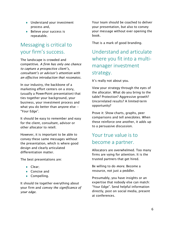- Understand your investment process and,
- ◆ Believe your success is repeatable.

## Messaging is critical to your firm's success.

The landscape is crowded and competitive. A firm has only one chance to capture a prospective client's, consultant's or advisor's attention with an effective introduction that resonates.

In our industry, the backbone of a marketing effort centers on a story, (usually a PowerPoint presentation) that ties together your background, your business, your investment process and what you do better than anyone else -- "Your Edge".

It should be easy to remember and easy for the client, consultant, advisor or other allocator to retell.

However, it is important to be able to convey these same messages without the presentation, which is where good design and clearly articulated differentiation matter.

The best presentations are:

- ◆ Clear:
- ◆ Concise and
- ◆ Compelling.

It should tie together everything about your firm and convey the significance of your edge.

Your team should be coached to deliver your presentation, but also to convey your message without ever opening the book.

That is a mark of good branding.

Understand and articulate where you fit into a multimanager investment strategy.

It's really not about you.

View your strategy through the eyes of the allocator. What do you bring to the table? Protection? Aggressive growth? Uncorrelated results? A limited-term opportunity?

Prove it: Show charts, graphs, peer comparisons and tell anecdotes. When these reinforce one another, it adds up to a persuasive discussion.

## Your true value is to become a partner.

Allocators are overwhelmed. Too many firms are vying for attention. It is the trusted partners that get hired.

Be willing to do more. Become a resource, not just a peddler.

Presumably, you have insights or an expertise that nobody else can match: "Your Edge". Send helpful information directly, post on social media, present at conferences.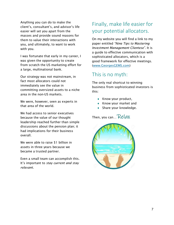Anything you can do to make the client's, consultant's, and advisor's life easier will set you apart from the masses and provide sound reasons for them to value their interactions with you, and ultimately, to want to work with you.

I was fortunate that early in my career, I was given the opportunity to create from scratch the US marketing effort for a large, multinational bank.

Our strategy was not mainstream, in fact most allocators could not immediately see the value in committing oversized assets to a niche area in the non-US markets.

We were, however, seen as experts in that area of the world.

We had access to senior executives because the value of our thought leadership reached further than simple discussions about the pension plan; it had implications for their business overall.

We were able to raise \$1 billion in assets in three years because we became a trusted partner.

Even a small team can accomplish this. It's important to stay current and stay relevant.

# Finally, make life easier for your potential allocators.

On my website you will find a link to my paper entitled "Nine Tips to Mastering Investment Management Clientese". It is a guide to effective communication with sophisticated allocators, which is a good framework for effective meetings. (www.GeorgesGEMS.com)

### This is no myth:

The only real shortcut to winning business from sophisticated investors is this:

- $\triangleleft$  Know your product,
- ◆ Know your market and
- ◆ Share your knowledge.

Then, you can... Relax